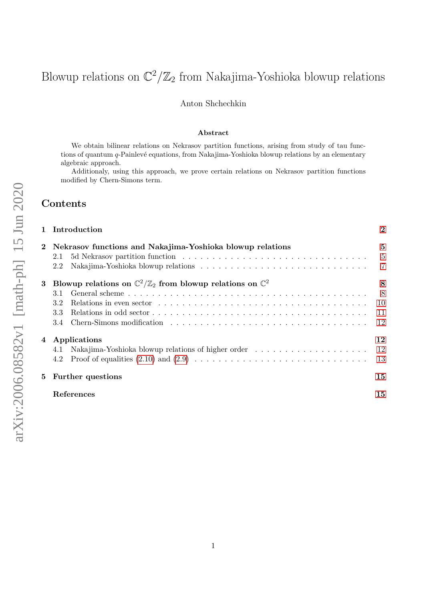# <span id="page-0-0"></span>Blowup relations on  $\mathbb{C}^2/\mathbb{Z}_2$  from Nakajima-Yoshioka blowup relations

#### Anton Shchechkin

#### Abstract

We obtain bilinear relations on Nekrasov partition functions, arising from study of tau functions of quantum q-Painlevé equations, from Nakajima-Yoshioka blowup relations by an elementary algebraic approach.

Additionaly, using this approach, we prove certain relations on Nekrasov partition functions modified by Chern-Simons term.

## Contents

|          | 1 Introduction                                                                                                             | $\overline{2}$ |  |
|----------|----------------------------------------------------------------------------------------------------------------------------|----------------|--|
| $\bf{2}$ | Nekrasov functions and Nakajima-Yoshioka blowup relations<br>2.1                                                           |                |  |
|          | Nakajima-Yoshioka blowup relations $\ldots \ldots \ldots \ldots \ldots \ldots \ldots \ldots \ldots \ldots \ldots$ 7<br>2.2 |                |  |
|          | 3 Blowup relations on $\mathbb{C}^2/\mathbb{Z}_2$ from blowup relations on $\mathbb{C}^2$                                  | 8              |  |
|          | 3.1                                                                                                                        | 8              |  |
|          | Relations in even sector $\ldots \ldots \ldots \ldots \ldots \ldots \ldots \ldots \ldots \ldots \ldots \ldots$<br>3.2      | -10            |  |
|          | 3.3                                                                                                                        | - 11           |  |
|          | 3.4                                                                                                                        | 12             |  |
|          | 4 Applications                                                                                                             | 12             |  |
|          | 4.1                                                                                                                        |                |  |
|          | 4.2                                                                                                                        | - 13           |  |
|          | 5 Further questions                                                                                                        | 15             |  |
|          | References                                                                                                                 | 15             |  |
|          |                                                                                                                            |                |  |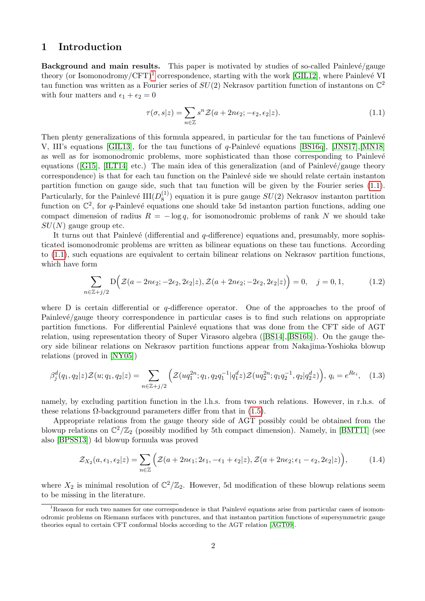## <span id="page-1-0"></span>1 Introduction

Background and main results. This paper is motivated by studies of so-called Painlevé/gauge theory (or Isomonodromy/CFT)<sup>[1](#page-0-0)</sup> correspondence, starting with the work [\[GIL12\]](#page-14-0), where Painlevé VI tau function was written as a Fourier series of  $SU(2)$  Nekrasov partition function of instantons on  $\mathbb{C}^2$ with four matters and  $\epsilon_1 + \epsilon_2 = 0$ 

<span id="page-1-1"></span>
$$
\tau(\sigma, s|z) = \sum_{n \in \mathbb{Z}} s^n \mathcal{Z}(a + 2n\epsilon_2; -\epsilon_2, \epsilon_2|z). \tag{1.1}
$$

Then plenty generalizations of this formula appeared, in particular for the tau functions of Painlevé V, III's equations [\[GIL13\]](#page-15-0), for the tau functions of q-Painlevé equations [\[BS16q\]](#page-14-1),  $\text{[JNS17],[MN18]}$  $\text{[JNS17],[MN18]}$  $\text{[JNS17],[MN18]}$  $\text{[JNS17],[MN18]}$  $\text{[JNS17],[MN18]}$ as well as for isomonodromic problems, more sophisticated than those corresponding to Painlevé equations ([\[G15\]](#page-15-3), [\[ILT14\]](#page-15-4) etc.) The main idea of this generalization (and of Painlevé/gauge theory correspondence) is that for each tau function on the Painlevé side we should relate certain instanton partition function on gauge side, such that tau function will be given by the Fourier series [\(1.1\)](#page-1-1). Particularly, for the Painlevé  $III(D_8^{(1)}$  $S<sup>(1)</sup>$  equation it is pure gauge  $SU(2)$  Nekrasov instanton partition function on  $\mathbb{C}^2$ , for q-Painlevé equations one should take 5d instanton partion functions, adding one compact dimension of radius  $R = -\log q$ , for isomonodromic problems of rank N we should take  $SU(N)$  gauge group etc.

It turns out that Painlevé (differential and  $q$ -difference) equations and, presumably, more sophisticated isomonodromic problems are written as bilinear equations on these tau functions. According to [\(1.1\)](#page-1-1), such equations are equivalent to certain bilinear relations on Nekrasov partition functions, which have form

$$
\sum_{n\in\mathbb{Z}+j/2} \mathcal{D}\Big(\mathcal{Z}(a-2n\epsilon_2; -2\epsilon_2, 2\epsilon_2|z), \mathcal{Z}(a+2n\epsilon_2; -2\epsilon_2, 2\epsilon_2|z)\Big) = 0, \quad j=0,1,
$$
 (1.2)

where  $D$  is certain differential or q-difference operator. One of the approaches to the proof of  $Painlevé/gauge theory correspondence in particular cases is to find such relations on appropriate$ partition functions. For differential Painlevé equations that was done from the CFT side of AGT relation, using representation theory of Super Virasoro algebra ([\[BS14\]](#page-14-2),[\[BS16b\]](#page-14-3)). On the gauge theory side bilinear relations on Nekrasov partition functions appear from Nakajima-Yoshioka blowup relations (proved in [\[NY05\]](#page-15-5))

<span id="page-1-2"></span>
$$
\beta_j^d(q_1, q_2|z) \mathcal{Z}(u; q_1, q_2|z) = \sum_{n \in \mathbb{Z}+j/2} \left( \mathcal{Z}(uq_1^{2n}; q_1, q_2q_1^{-1}|q_1^dz) \mathcal{Z}(uq_2^{2n}; q_1q_2^{-1}, q_2|q_2^dz) \right), \ q_i = e^{Re_i}, \quad (1.3)
$$

namely, by excluding partition function in the l.h.s. from two such relations. However, in r.h.s. of these relations  $\Omega$ -background parameters differ from that in [\(1.5\)](#page-2-0).

Appropriate relations from the gauge theory side of AGT possibly could be obtained from the blowup relations on  $\mathbb{C}^2/\mathbb{Z}_2$  (possibly modified by 5th compact dimension). Namely, in [\[BMT11\]](#page-14-4) (see also [\[BPSS13\]](#page-14-5)) 4d blowup formula was proved

<span id="page-1-3"></span>
$$
\mathcal{Z}_{X_2}(a,\epsilon_1,\epsilon_2|z) = \sum_{n\in\mathbb{Z}} \Big( \mathcal{Z}(a+2n\epsilon_1;2\epsilon_1,-\epsilon_1+\epsilon_2|z), \mathcal{Z}(a+2n\epsilon_2;\epsilon_1-\epsilon_2,2\epsilon_2|z) \Big),\tag{1.4}
$$

where  $X_2$  is minimal resolution of  $\mathbb{C}^2/\mathbb{Z}_2$ . However, 5d modification of these blowup relations seem to be missing in the literature.

 ${}^{1}$ Reason for such two names for one correspondence is that Painlevé equations arise from particular cases of isomonodromic problems on Riemann surfaces with punctures, and that instanton partition functions of supersymmetric gauge theories equal to certain CFT conformal blocks according to the AGT relation [\[AGT09\]](#page-14-6).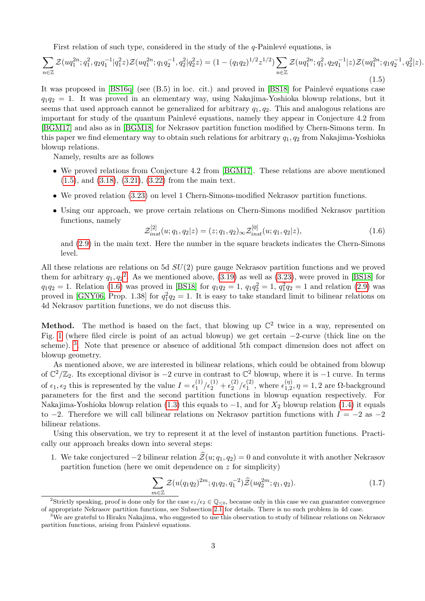First relation of such type, considered in the study of the  $q$ -Painlevé equations, is

<span id="page-2-0"></span>
$$
\sum_{n\in\mathbb{Z}} \mathcal{Z}(uq_1^{2n};q_1^2,q_2q_1^{-1}|q_1^2z)\mathcal{Z}(uq_1^{2n};q_1q_2^{-1},q_2^2|q_2^2z)=(1-(q_1q_2)^{1/2}z^{1/2})\sum_{n\in\mathbb{Z}} \mathcal{Z}(uq_1^{2n};q_1^2,q_2q_1^{-1}|z)\mathcal{Z}(uq_1^{2n};q_1q_2^{-1},q_2^2|z).
$$
\n(1.5)

It was proposed in  $[BS16q]$  (see  $(B.5)$  in loc. cit.) and proved in  $[BS18]$  for Painlevé equations case  $q_1q_2 = 1$ . It was proved in an elementary way, using Nakajima-Yoshioka blowup relations, but it seems that used approach cannot be generalized for arbitrary  $q_1, q_2$ . This and analogous relations are important for study of the quantum Painlevé equations, namely they appear in Conjecture 4.2 from [\[BGM17\]](#page-14-8) and also as in [\[BGM18\]](#page-14-9) for Nekrasov partition function modified by Chern-Simons term. In this paper we find elementary way to obtain such relations for arbitrary  $q_1, q_2$  from Nakajima-Yoshioka blowup relations.

Namely, results are as follows

- We proved relations from Conjecture 4.2 from [\[BGM17\]](#page-14-8). These relations are above mentioned [\(1.5\)](#page-2-0), and [\(3.18\)](#page-9-1), [\(3.21\)](#page-10-1), [\(3.22\)](#page-11-3) from the main text.
- We proved relation [\(3.23\)](#page-11-4) on level 1 Chern-Simons-modified Nekrasov partition functions.
- Using our approach, we prove certain relations on Chern-Simons modified Nekrasov partition functions, namely

<span id="page-2-1"></span>
$$
\mathcal{Z}_{inst}^{[2]}(u;q_1,q_2|z) = (z;q_1,q_2)_{\infty} \mathcal{Z}_{inst}^{[0]}(u;q_1,q_2|z), \qquad (1.6)
$$

and [\(2.9\)](#page-5-1) in the main text. Here the number in the square brackets indicates the Chern-Simons level.

All these relations are relations on 5d SU(2) pure gauge Nekrasov partition functions and we proved them for arbitrary  $q_1, q_2^2$  $q_1, q_2^2$  $q_1, q_2^2$ . As we mentioned above, [\(3.19\)](#page-10-2) as well as [\(3.23\)](#page-11-4), were proved in [\[BS18\]](#page-14-7) for  $q_1q_2 = 1$ . Relation [\(1.6\)](#page-2-1) was proved in [\[BS18\]](#page-14-7) for  $q_1q_2 = 1$ ,  $q_1q_2 = 1$ ,  $q_1^2q_2 = 1$  and relation [\(2.9\)](#page-5-1) was proved in [\[GNY06,](#page-15-6) Prop. 1.38] for  $q_1^2q_2 = 1$ . It is easy to take standard limit to bilinear relations on 4d Nekrasov partition functions, we do not discuss this.

**Method.** The method is based on the fact, that blowing up  $\mathbb{C}^2$  twice in a way, represented on Fig. [1](#page-3-1) (where filed circle is point of an actual blowup) we get certain −2-curve (thick line on the scheme). <sup>[3](#page-0-0)</sup>. Note that presence or absence of additional 5th compact dimension does not affect on blowup geometry.

As mentioned above, we are interested in bilinear relations, which could be obtained from blowup of  $\mathbb{C}^2/\mathbb{Z}_2$ . Its exceptional divisor is  $-2$  curve in contrast to  $\mathbb{C}^2$  blowup, where it is  $-1$  curve. In terms of  $\epsilon_1, \epsilon_2$  this is represented by the value  $I = \epsilon_1^{(1)}$  $\frac{(1)}{1}$  /  $\epsilon_2^{(1)}$  +  $\epsilon_2^{(2)}$  $\binom{2}{2}$  / $\epsilon_1^{(2)}$ , where  $\epsilon_{1,2}^{(\eta)}$  $\prod_{1,2}^{(1)}$ ,  $\eta = 1,2$  are  $\Omega$ -background parameters for the first and the second partition functions in blowup equation respectively. For Nakajima-Yoshioka blowup relation [\(1.3\)](#page-1-2) this equals to  $-1$ , and for  $X_2$  blowup relation [\(1.4\)](#page-1-3) it equals to  $-2$ . Therefore we will call bilinear relations on Nekrasov partition functions with  $I = -2$  as  $-2$ bilinear relations.

Using this observation, we try to represent it at the level of instanton partition functions. Practically our approach breaks down into several steps:

1. We take conjectured  $-2$  bilinear relation  $\hat{\mathcal{Z}}(u; q_1, q_2) = 0$  and convolute it with another Nekrasov partition function (here we omit dependence on  $z$  for simplicity)

$$
\sum_{m\in\mathbb{Z}} \mathcal{Z}(u(q_1q_2)^{2m}; q_1q_2, q_1^{-2})\widehat{\mathcal{Z}}(uq_2^{2m}; q_1, q_2). \tag{1.7}
$$

<sup>&</sup>lt;sup>2</sup>Strictly speaking, proof is done only for the case  $\epsilon_1/\epsilon_2 \in \mathbb{Q}_{\leq 0}$ , because only in this case we can guarantee convergence of appropriate Nekrasov partition functions, see Subsection [2.1](#page-4-1) for details. There is no such problem in 4d case.

 $3W$ e are grateful to Hiraku Nakajima, who suggested to use this observation to study of bilinear relations on Nekrasov partition functions, arising from Painlevé equations.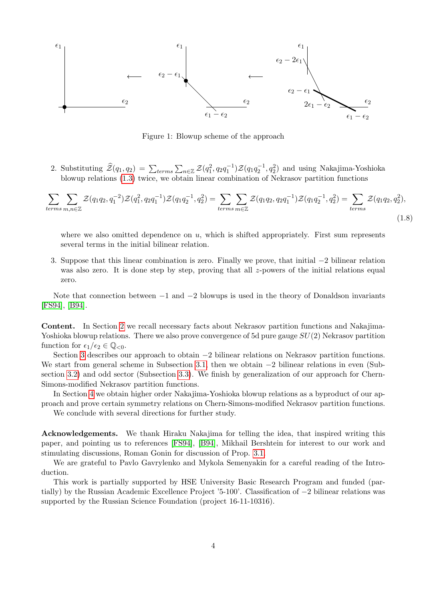

<span id="page-3-1"></span>Figure 1: Blowup scheme of the approach

2. Substituting  $\hat{\mathcal{Z}}(q_1, q_2) = \sum_{terms} \sum_{n \in \mathbb{Z}} \mathcal{Z}(q_1^2, q_2 q_1^{-1}) \mathcal{Z}(q_1 q_2^{-1}, q_2^2)$  and using Nakajima-Yoshioka blowup relations [\(1.3\)](#page-1-2) twice, we obtain linear combination of Nekrasov partition functions

$$
\sum_{terms \, m,n \in \mathbb{Z}} \sum \mathcal{Z}(q_1 q_2, q_1^{-2}) \mathcal{Z}(q_1^2, q_2 q_1^{-1}) \mathcal{Z}(q_1 q_2^{-1}, q_2^2) = \sum_{terms \, m \in \mathbb{Z}} \sum \mathcal{Z}(q_1 q_2, q_2 q_1^{-1}) \mathcal{Z}(q_1 q_2^{-1}, q_2^2) = \sum_{terms} \mathcal{Z}(q_1 q_2, q_2^2),
$$
\n(1.8)

where we also omitted dependence on  $u$ , which is shifted appropriately. First sum represents several terms in the initial bilinear relation.

3. Suppose that this linear combination is zero. Finally we prove, that initial −2 bilinear relation was also zero. It is done step by step, proving that all z-powers of the initial relations equal zero.

Note that connection between  $-1$  and  $-2$  blowups is used in the theory of Donaldson invariants [\[FS94\]](#page-14-10), [\[B94\]](#page-14-11).

Content. In Section [2](#page-3-0) we recall necessary facts about Nekrasov partition functions and Nakajima-Yoshioka blowup relations. There we also prove convergence of 5d pure gauge  $SU(2)$  Nekrasov partition function for  $\epsilon_1/\epsilon_2 \in \mathbb{Q}_{\leq 0}$ .

Section [3](#page-7-0) describes our approach to obtain −2 bilinear relations on Nekrasov partition functions. We start from general scheme in Subsection [3.1,](#page-7-1) then we obtain −2 bilinear relations in even (Subsection [3.2\)](#page-9-0) and odd sector (Subsection [3.3\)](#page-10-0). We finish by generalization of our approach for Chern-Simons-modified Nekrasov partition functions.

In Section [4](#page-11-1) we obtain higher order Nakajima-Yoshioka blowup relations as a byproduct of our approach and prove certain symmetry relations on Chern-Simons-modified Nekrasov partition functions.

We conclude with several directions for further study.

Acknowledgements. We thank Hiraku Nakajima for telling the idea, that inspired writing this paper, and pointing us to references [\[FS94\]](#page-14-10), [\[B94\]](#page-14-11), Mikhail Bershtein for interest to our work and stimulating discussions, Roman Gonin for discussion of Prop. [3.1.](#page-8-0)

We are grateful to Pavlo Gavrylenko and Mykola Semenyakin for a careful reading of the Introduction.

<span id="page-3-0"></span>This work is partially supported by HSE University Basic Research Program and funded (partially) by the Russian Academic Excellence Project '5-100'. Classification of −2 bilinear relations was supported by the Russian Science Foundation (project 16-11-10316).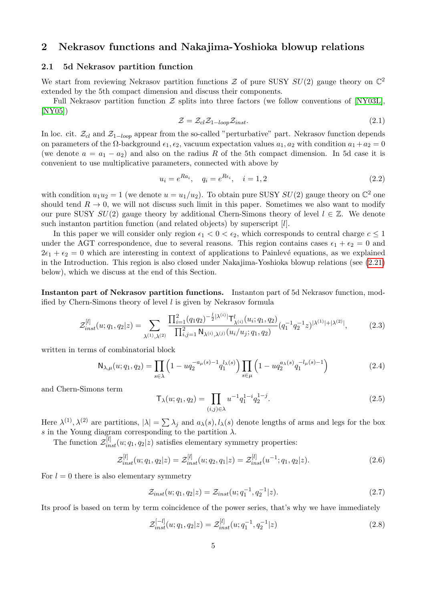## 2 Nekrasov functions and Nakajima-Yoshioka blowup relations

#### <span id="page-4-0"></span>2.1 5d Nekrasov partition function

We start from reviewing Nekrasov partition functions  $\mathcal Z$  of pure SUSY  $SU(2)$  gauge theory on  $\mathbb C^2$ extended by the 5th compact dimension and discuss their components.

Full Nekrasov partition function  $\mathcal Z$  splits into three factors (we follow conventions of [\[NY03L\]](#page-15-7), [\[NY05\]](#page-15-5))

$$
\mathcal{Z} = \mathcal{Z}_{cl} \mathcal{Z}_{1-loop} \mathcal{Z}_{inst}.
$$
\n
$$
(2.1)
$$

In loc. cit.  $\mathcal{Z}_{cl}$  and  $\mathcal{Z}_{1-loop}$  appear from the so-called "perturbative" part. Nekrasov function depends on parameters of the  $\Omega$ -background  $\epsilon_1, \epsilon_2$ , vacuum expectation values  $a_1, a_2$  with condition  $a_1 + a_2 = 0$ (we denote  $a = a_1 - a_2$ ) and also on the radius R of the 5th compact dimension. In 5d case it is convenient to use multiplicative parameters, connected with above by

<span id="page-4-1"></span>
$$
u_i = e^{Ra_i}, \quad q_i = e^{Re_i}, \quad i = 1, 2
$$
\n(2.2)

with condition  $u_1u_2 = 1$  (we denote  $u = u_1/u_2$ ). To obtain pure SUSY  $SU(2)$  gauge theory on  $\mathbb{C}^2$  one should tend  $R \to 0$ , we will not discuss such limit in this paper. Sometimes we also want to modify our pure SUSY  $SU(2)$  gauge theory by additional Chern-Simons theory of level  $l \in \mathbb{Z}$ . We denote such instanton partition function (and related objects) by superscript [l].

In this paper we will consider only region  $\epsilon_1 < 0 < \epsilon_2$ , which corresponds to central charge  $c \leq 1$ under the AGT correspondence, due to several reasons. This region contains cases  $\epsilon_1 + \epsilon_2 = 0$  and  $2\epsilon_1 + \epsilon_2 = 0$  which are interesting in context of applications to Painlevé equations, as we explained in the Introduction. This region is also closed under Nakajima-Yoshioka blowup relations (see [\(2.21\)](#page-6-1) below), which we discuss at the end of this Section.

Instanton part of Nekrasov partition functions. Instanton part of 5d Nekrasov function, modified by Chern-Simons theory of level l is given by Nekrasov formula

<span id="page-4-2"></span>
$$
\mathcal{Z}_{inst}^{[l]}(u;q_1,q_2|z) = \sum_{\lambda^{(1)},\lambda^{(2)}} \frac{\prod_{i=1}^2 (q_1q_2)^{-\frac{1}{2}|\lambda^{(i)}|} \mathsf{T}_{\lambda^{(i)}}^l(u_i;q_1,q_2)}{\prod_{i,j=1}^2 \mathsf{N}_{\lambda^{(i)},\lambda^{(j)}}(u_i/u_j;q_1,q_2)} (q_1^{-1}q_2^{-1}z)^{|\lambda^{(1)}|+|\lambda^{(2)}|},\tag{2.3}
$$

written in terms of combinatorial block

$$
N_{\lambda,\mu}(u;q_1,q_2) = \prod_{s \in \lambda} \left(1 - u q_2^{-a_{\mu}(s)-1} q_1^{l_{\lambda}(s)}\right) \prod_{s \in \mu} \left(1 - u q_2^{a_{\lambda}(s)} q_1^{-l_{\mu}(s)-1}\right)
$$
(2.4)

and Chern-Simons term

$$
\mathsf{T}_{\lambda}(u;q_1,q_2) = \prod_{(i,j)\in\lambda} u^{-1} q_1^{1-i} q_2^{1-j}.
$$
\n(2.5)

Here  $\lambda^{(1)}, \lambda^{(2)}$  are partitions,  $|\lambda| = \sum \lambda_j$  and  $a_\lambda(s), l_\lambda(s)$  denote lengths of arms and legs for the box s in the Young diagram corresponding to the partition  $\lambda$ .

The function  $\mathcal{Z}_{inst}^{[l]}(u; q_1, q_2|z)$  satisfies elementary symmetry properties:

$$
\mathcal{Z}_{inst}^{[l]}(u;q_1,q_2|z) = \mathcal{Z}_{inst}^{[l]}(u;q_2,q_1|z) = \mathcal{Z}_{inst}^{[l]}(u^{-1};q_1,q_2|z). \tag{2.6}
$$

For  $l = 0$  there is also elementary symmetry

$$
\mathcal{Z}_{inst}(u;q_1,q_2|z) = \mathcal{Z}_{inst}(u;q_1^{-1},q_2^{-1}|z). \tag{2.7}
$$

Its proof is based on term by term coincidence of the power series, that's why we have immediately

<span id="page-4-3"></span>
$$
\mathcal{Z}_{inst}^{[-l]}(u;q_1,q_2|z) = \mathcal{Z}_{inst}^{[l]}(u;q_1^{-1},q_2^{-1}|z)
$$
\n(2.8)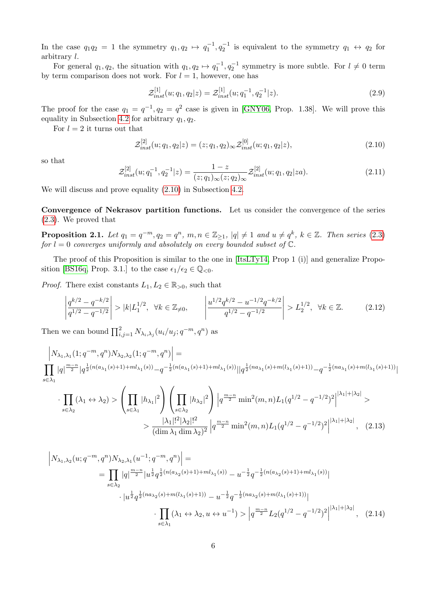In the case  $q_1q_2 = 1$  the symmetry  $q_1, q_2 \mapsto q_1^{-1}, q_2^{-1}$  is equivalent to the symmetry  $q_1 \leftrightarrow q_2$  for arbitrary l.

For general  $q_1, q_2$ , the situation with  $q_1, q_2 \mapsto q_1^{-1}, q_2^{-1}$  symmetry is more subtle. For  $l \neq 0$  term by term comparison does not work. For  $l = 1$ , however, one has

<span id="page-5-1"></span>
$$
\mathcal{Z}_{inst}^{[1]}(u;q_1,q_2|z) = \mathcal{Z}_{inst}^{[1]}(u;q_1^{-1},q_2^{-1}|z). \tag{2.9}
$$

The proof for the case  $q_1 = q^{-1}, q_2 = q^2$  case is given in [\[GNY06,](#page-15-6) Prop. 1.38]. We will prove this equality in Subsection [4.2](#page-12-0) for arbitrary  $q_1, q_2$ .

For  $l = 2$  it turns out that

<span id="page-5-0"></span>
$$
\mathcal{Z}_{inst}^{[2]}(u;q_1,q_2|z) = (z;q_1,q_2)_{\infty} \mathcal{Z}_{inst}^{[0]}(u;q_1,q_2|z), \qquad (2.10)
$$

so that

$$
\mathcal{Z}_{inst}^{[2]}(u;q_1^{-1},q_2^{-1}|z) = \frac{1-z}{(z;q_1)_{\infty}(z;q_2)_{\infty}} \mathcal{Z}_{inst}^{[2]}(u;q_1,q_2|za). \tag{2.11}
$$

We will discuss and prove equality [\(2.10\)](#page-5-0) in Subsection [4.2.](#page-12-0)

Convergence of Nekrasov partition functions. Let us consider the convergence of the series [\(2.3\)](#page-4-2). We proved that

**Proposition 2.1.** Let  $q_1 = q^{-m}, q_2 = q^n, m, n \in \mathbb{Z}_{\geq 1}$ ,  $|q| \neq 1$  and  $u \neq q^k$ ,  $k \in \mathbb{Z}$ . Then series  $(2.3)$ for  $l = 0$  converges uniformly and absolutely on every bounded subset of  $\mathbb{C}$ .

The proof of this Proposition is similar to the one in [\[ItsLTy14,](#page-15-8) Prop 1 (i)] and generalize Propo-sition [\[BS16q,](#page-14-1) Prop. 3.1.] to the case  $\epsilon_1/\epsilon_2 \in \mathbb{Q}_{\leq 0}$ .

*Proof.* There exist constants  $L_1, L_2 \in \mathbb{R}_{>0}$ , such that

$$
\left| \frac{q^{k/2} - q^{-k/2}}{q^{1/2} - q^{-1/2}} \right| > |k| L_1^{1/2}, \ \ \forall k \in \mathbb{Z}_{\neq 0}, \qquad \left| \frac{u^{1/2} q^{k/2} - u^{-1/2} q^{-k/2}}{q^{1/2} - q^{-1/2}} \right| > L_2^{1/2}, \ \ \forall k \in \mathbb{Z}. \tag{2.12}
$$

Then we can bound  $\prod_{i,j=1}^2 N_{\lambda_i,\lambda_j}(u_i/u_j;q^{-m},q^n)$  as

$$
\left| N_{\lambda_1,\lambda_1}(1;q^{-m},q^n) N_{\lambda_2,\lambda_2}(1;q^{-m},q^n) \right| = \left| \prod_{s \in \lambda_1} |q|^{\frac{m-n}{2}} |q^{\frac{1}{2}(n(a_{\lambda_1}(s)+1)+ml_{\lambda_1}(s))} - q^{-\frac{1}{2}(n(a_{\lambda_1}(s)+1)+ml_{\lambda_1}(s))}||q^{\frac{1}{2}(na_{\lambda_1}(s)+m(l_{\lambda_1}(s)+1))} - q^{-\frac{1}{2}(na_{\lambda_1}(s)+m(l_{\lambda_1}(s)+1))}||q^{\frac{1}{2}(na_{\lambda_1}(s)+l_{\lambda_1}(s)+l_{\lambda_1}(s)+l_{\lambda_1}(s))}||q^{\frac{1}{2}(na_{\lambda_1}(s)+l_{\lambda_1}(s)+l_{\lambda_1}(s)+l_{\lambda_1}(s)+l_{\lambda_1}(s))}||q^{\frac{1}{2}(na_{\lambda_1}(s)+l_{\lambda_1}(s)+l_{\lambda_1}(s)+l_{\lambda_1}(s)+l_{\lambda_1}(s)+l_{\lambda_1}(s)+l_{\lambda_1}(s))}||q^{\frac{1}{2}(na_{\lambda_1}(s)+l_{\lambda_1}(s)+l_{\lambda_1}(s)+l_{\lambda_1}(s)+l_{\lambda_1}(s)+l_{\lambda_1}(s)+l_{\lambda_1}(s)+l_{\lambda_1}(s)+l_{\lambda_1}(s)+l_{\lambda_1}(s)+l_{\lambda_1}(s)+l_{\lambda_1}(s)+l_{\lambda_1}(s)+l_{\lambda_1}(s)+l_{\lambda_1}(s)+l_{\lambda_1}(s)+l_{\lambda_1}(s)+l_{\lambda_1}(s)+l_{\lambda_1}(s)+l_{\lambda_1}(s)+l_{\lambda_1}(s)+l_{\lambda_1}(s)+l_{\lambda_1}(s)+l_{\lambda_1}(s)+l_{\lambda_1}(s)+l_{\lambda_1}(s)+l_{\lambda_1}(s)+l_{\lambda_1}(s)+l_{\lambda_1}(s)+l_{\lambda_1}(s)+l_{\lambda_1}(s)+l_{\lambda_1}(s)+l_{\lambda_1}(s)+l_{\lambda_1}(s)+l_{\lambda_1}(s)+l_{\lambda_1}(s)+l_{\lambda_1}(s)+l_{\lambda_1}(s)+l_{\lambda_1}(s)+l_{\lambda_1}(s)+l_{\lambda_1}(s)+l_{\lambda_1
$$

$$
\cdot \prod_{s \in \lambda_2} (\lambda_1 \leftrightarrow \lambda_2) > \left( \prod_{s \in \lambda_1} |h_{\lambda_1}|^2 \right) \left( \prod_{s \in \lambda_2} |h_{\lambda_2}|^2 \right) \left| q^{\frac{m-n}{2}} \min^2(m, n) L_1(q^{1/2} - q^{-1/2})^2 \right|^{|\lambda_1| + |\lambda_2|} > > \frac{|\lambda_1|!^2 |\lambda_2|!^2}{(\dim \lambda_1 \dim \lambda_2)^2} \left| q^{\frac{m-n}{2}} \min^2(m, n) L_1(q^{1/2} - q^{-1/2})^2 \right|^{|\lambda_1| + |\lambda_2|}, \quad (2.13)
$$

$$
\left| N_{\lambda_1, \lambda_2}(u; q^{-m}, q^n) N_{\lambda_2, \lambda_1}(u^{-1}; q^{-m}, q^n) \right| =
$$
\n
$$
= \prod_{s \in \lambda_2} |q|^{\frac{m-n}{2}} |u^{\frac{1}{2}} q^{\frac{1}{2}(n(a_{\lambda_2}(s)+1) + ml_{\lambda_1}(s))} - u^{-\frac{1}{2}} q^{-\frac{1}{2}(n(a_{\lambda_2}(s)+1) + ml_{\lambda_1}(s))}|
$$
\n
$$
\cdot |u^{\frac{1}{2}} q^{\frac{1}{2}(na_{\lambda_2}(s) + m(l_{\lambda_1}(s)+1))} - u^{-\frac{1}{2}} q^{-\frac{1}{2}(na_{\lambda_2}(s) + m(l_{\lambda_1}(s)+1))}|
$$
\n
$$
\cdot \prod_{s \in \lambda_1} (\lambda_1 \leftrightarrow \lambda_2, u \leftrightarrow u^{-1}) > \left| q^{\frac{m-n}{2}} L_2(q^{1/2} - q^{-1/2})^2 \right|^{|\lambda_1| + |\lambda_2|}, \quad (2.14)
$$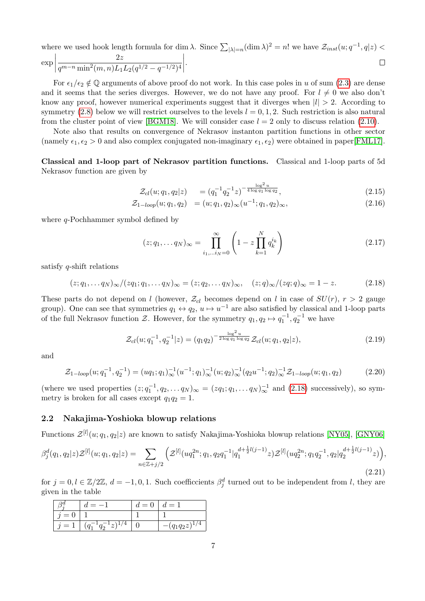where we used hook length formula for dim  $\lambda$ . Since  $\sum_{|\lambda|=n} (\dim \lambda)^2 = n!$  we have  $\mathcal{Z}_{inst}(u; q^{-1}, q|z) <$ 

$$
\exp\left|\frac{2z}{q^{m-n}\min^2(m,n)L_1L_2(q^{1/2}-q^{-1/2})^4}\right|.\quad\Box
$$

For  $\epsilon_1/\epsilon_2 \notin \mathbb{Q}$  arguments of above proof do not work. In this case poles in u of sum [\(2.3\)](#page-4-2) are dense and it seems that the series diverges. However, we do not have any proof. For  $l \neq 0$  we also don't know any proof, however numerical experiments suggest that it diverges when  $|l| > 2$ . According to symmetry [\(2.8\)](#page-4-3) below we will restrict ourselves to the levels  $l = 0, 1, 2$ . Such restriction is also natural from the cluster point of view [\[BGM18\]](#page-14-9). We will consider case  $l = 2$  only to discuss relation [\(2.10\)](#page-5-0).

Note also that results on convergence of Nekrasov instanton partition functions in other sector (namely  $\epsilon_1, \epsilon_2 > 0$  and also complex conjugated non-imaginary  $\epsilon_1, \epsilon_2$ ) were obtained in paper[\[FML17\]](#page-14-12).

Classical and 1-loop part of Nekrasov partition functions. Classical and 1-loop parts of 5d Nekrasov function are given by

$$
\mathcal{Z}_{cl}(u;q_1,q_2|z) = (q_1^{-1}q_2^{-1}z)^{-\frac{\log^2 u}{4\log q_1 \log q_2}},\tag{2.15}
$$

$$
\mathcal{Z}_{1-loop}(u;q_1,q_2) = (u;q_1,q_2)_{\infty}(u^{-1};q_1,q_2)_{\infty}, \tag{2.16}
$$

where *q*-Pochhammer symbol defined by

$$
(z; q_1, \dots q_N)_{\infty} = \prod_{i_1, \dots i_N = 0}^{\infty} \left( 1 - z \prod_{k=1}^N q_k^{i_k} \right)
$$
 (2.17)

satisfy q-shift relations

<span id="page-6-2"></span>
$$
(z;q_1,\ldots q_N)_{\infty}/(zq_1;q_1,\ldots q_N)_{\infty} = (z;q_2,\ldots q_N)_{\infty}, \quad (z;q)_{\infty}/(zq;q)_{\infty} = 1-z.
$$
 (2.18)

These parts do not depend on l (however,  $\mathcal{Z}_{cl}$  becomes depend on l in case of  $SU(r)$ ,  $r > 2$  gauge group). One can see that symmetries  $q_1 \leftrightarrow q_2$ ,  $u \mapsto u^{-1}$  are also satisfied by classical and 1-loop parts of the full Nekrasov function  $\mathcal{Z}$ . However, for the symmetry  $q_1, q_2 \mapsto q_1^{-1}, q_2^{-1}$  we have

<span id="page-6-3"></span>
$$
\mathcal{Z}_{cl}(u;q_1^{-1},q_2^{-1}|z) = (q_1q_2)^{-\frac{\log^2 u}{2\log q_1 \log q_2}} \mathcal{Z}_{cl}(u;q_1,q_2|z),\tag{2.19}
$$

and

<span id="page-6-4"></span>
$$
\mathcal{Z}_{1-loop}(u;q_1^{-1},q_2^{-1}) = (uq_1;q_1)_{\infty}^{-1}(u^{-1};q_1)_{\infty}^{-1}(u;q_2)_{\infty}^{-1}(q_2u^{-1};q_2)_{\infty}^{-1}\mathcal{Z}_{1-loop}(u;q_1,q_2)
$$
(2.20)

(where we used properties  $(z; q_1^{-1}, q_2, \ldots q_N)_{\infty} = (z q_1; q_1, \ldots q_N)_{\infty}^{-1}$  and  $(2.18)$  successively), so symmetry is broken for all cases except  $q_1q_2 = 1$ .

#### <span id="page-6-0"></span>2.2 Nakajima-Yoshioka blowup relations

Functions  $\mathcal{Z}^{[l]}(u;q_1,q_2|z)$  are known to satisfy Nakajima-Yoshioka blowup relations [\[NY05\]](#page-15-5), [\[GNY06\]](#page-15-6)

<span id="page-6-1"></span>
$$
\beta_j^d(q_1, q_2|z) \mathcal{Z}^{[l]}(u; q_1, q_2|z) = \sum_{n \in \mathbb{Z}+j/2} \left( \mathcal{Z}^{[l]}(uq_1^{2n}; q_1, q_2q_1^{-1}|q_1^{d+\frac{1}{2}l(j-1)}z) \mathcal{Z}^{[l]}(uq_2^{2n}; q_1q_2^{-1}, q_2|q_2^{d+\frac{1}{2}l(j-1)}z) \right),
$$
\n(2.21)

for  $j = 0, l \in \mathbb{Z}/2\mathbb{Z}, d = -1, 0, 1$ . Such coefficcients  $\beta_j^d$  turned out to be independent from l, they are given in the table

|                          |                 | $d=0$ | $d = 1$           |
|--------------------------|-----------------|-------|-------------------|
| $\overline{\phantom{0}}$ |                 |       |                   |
| $\equiv$ .               | $+$ $\sim$<br>∼ |       | $(q_1q_2z)^{1/2}$ |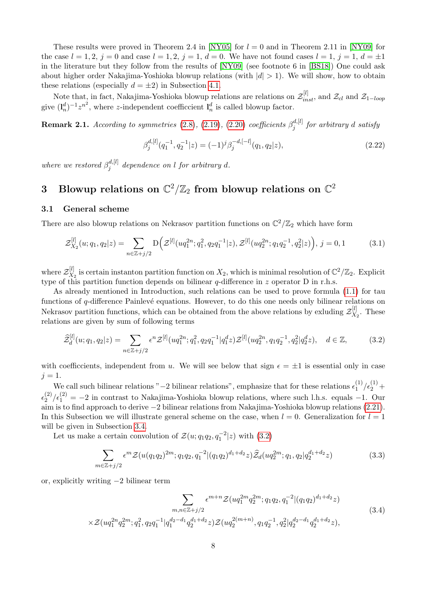These results were proved in Theorem 2.4 in [\[NY05\]](#page-15-5) for  $l = 0$  and in Theorem 2.11 in [\[NY09\]](#page-15-9) for the case  $l = 1, 2, j = 0$  and case  $l = 1, 2, j = 1, d = 0$ . We have not found cases  $l = 1, j = 1, d = \pm 1$ in the literature but they follow from the results of [\[NY09\]](#page-15-9) (see footnote 6 in [\[BS18\]](#page-14-7)) One could ask about higher order Nakajima-Yoshioka blowup relations (with  $|d| > 1$ ). We will show, how to obtain these relations (especially  $d = \pm 2$ ) in Subsection [4.1.](#page-11-2)

Note that, in fact, Nakajima-Yoshioka blowup relations are relations on  $\mathcal{Z}_{inst}^{[l]}$ , and  $\mathcal{Z}_{cl}$  and  $\mathcal{Z}_{1-loop}$ give  $(\mathbf{l}_n^d)^{-1} z^{n^2}$ , where z-independent coefficcient  $\mathbf{l}_n^d$  is called blowup factor.

<span id="page-7-4"></span>**Remark 2.1.** According to symmetries [\(2.8\)](#page-4-3), [\(2.19\)](#page-6-3), [\(2.20\)](#page-6-4) coefficients  $\beta_i^{d,[l]}$  $j_j^{a,[t]}$  for arbitrary d satisfy

<span id="page-7-5"></span>
$$
\beta_j^{d,[l]}(q_1^{-1}, q_2^{-1}|z) = (-1)^j \beta_j^{-d, [-l]}(q_1, q_2|z), \qquad (2.22)
$$

where we restored  $\beta_i^{d,[l]}$  $j^{a,[l]}$  dependence on l for arbitrary d.

## <span id="page-7-0"></span>3 Blowup relations on  $\mathbb{C}^2/\mathbb{Z}_2$  from blowup relations on  $\mathbb{C}^2$

#### <span id="page-7-1"></span>3.1 General scheme

There are also blowup relations on Nekrasov partition functions on  $\mathbb{C}^2/\mathbb{Z}_2$  which have form

$$
\mathcal{Z}_{X_2}^{[l]}(u;q_1,q_2|z) = \sum_{n \in \mathbb{Z}+j/2} \mathcal{D}\left(\mathcal{Z}^{[l]}(uq_1^{2n};q_1^2,q_2q_1^{-1}|z),\mathcal{Z}^{[l]}(uq_2^{2n};q_1q_2^{-1},q_2^2|z)\right),\,j=0,1\tag{3.1}
$$

where  $\mathcal{Z}_{X_d}^{[l]}$  $X_2$  is certain instanton partition function on  $X_2$ , which is minimal resolution of  $\mathbb{C}^2/\mathbb{Z}_2$ . Explicit type of this partition function depends on bilinear  $q$ -difference in z operator D in r.h.s.

As already mentioned in Introduction, such relations can be used to prove formula [\(1.1\)](#page-1-1) for tau functions of  $q$ -difference Painlevé equations. However, to do this one needs only bilinear relations on Nekrasov partition functions, which can be obtained from the above relations by exluding  $\mathcal{Z}_X^{[l]}$  $X_2$ . These relations are given by sum of following terms

<span id="page-7-2"></span>
$$
\widehat{\mathcal{Z}}_d^{[l]}(u;q_1,q_2|z) = \sum_{n \in \mathbb{Z}+j/2} \epsilon^n \mathcal{Z}^{[l]}(uq_1^{2n};q_1^2,q_2q_1^{-1}|q_1^dz) \mathcal{Z}^{[l]}(uq_2^{2n},q_1q_2^{-1},q_2^2|q_2^dz), \quad d \in \mathbb{Z},\tag{3.2}
$$

with coefficcients, independent from u. We will see below that sign  $\epsilon = \pm 1$  is essential only in case  $i = 1$ .

We call such bilinear relations " $-2$  bilinear relations", emphasize that for these relations  $\epsilon_1^{(1)}$  $\frac{1}{2}$   $\frac{1}{2}$   $\frac{1}{2}$  +  $\epsilon_2^{(2)}$  $\binom{2}{2}\epsilon_1^{(2)} = -2$  in contrast to Nakajima-Yoshioka blowup relations, where such l.h.s. equals -1. Our aim is to find approach to derive −2 bilinear relations from Nakajima-Yoshioka blowup relations [\(2.21\)](#page-6-1). In this Subsection we will illustrate general scheme on the case, when  $l = 0$ . Generalization for  $l = 1$ will be given in Subsection [3.4.](#page-11-0)

Let us make a certain convolution of  $\mathcal{Z}(u; q_1q_2, q_1^{-2}|z)$  with  $(3.2)$ 

<span id="page-7-3"></span>
$$
\sum_{m \in \mathbb{Z}+j/2} \epsilon^m \mathcal{Z}(u(q_1q_2)^{2m}; q_1q_2, q_1^{-2} | (q_1q_2)^{d_1+d_2} z) \widehat{\mathcal{Z}}_d(uq_2^{2m}; q_1, q_2 | q_2^{d_1+d_2} z)
$$
(3.3)

or, explicitly writing −2 bilinear term

$$
\sum_{m,n \in \mathbb{Z}+j/2} \epsilon^{m+n} \mathcal{Z}(uq_1^{2m}q_2^{2m}; q_1q_2, q_1^{-2} | (q_1q_2)^{d_1+d_2} z)
$$
\n
$$
\times \mathcal{Z}(uq_1^{2n}q_2^{2m}; q_1^2, q_2q_1^{-1} | q_1^{d_2-d_1}q_2^{d_1+d_2} z) \mathcal{Z}(uq_2^{2(m+n)}, q_1q_2^{-1}, q_2^2 | q_2^{d_2-d_1}q_2^{d_1+d_2} z),
$$
\n(3.4)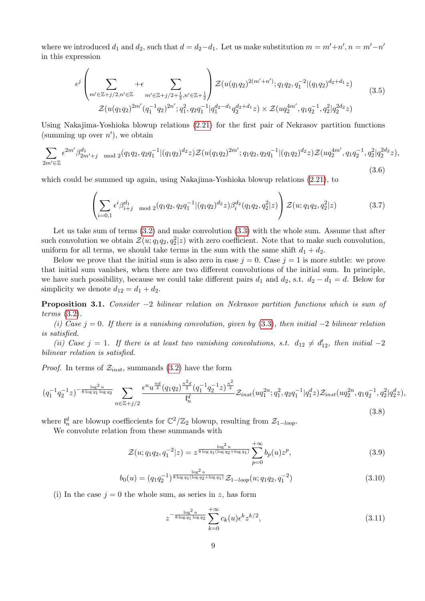where we introduced  $d_1$  and  $d_2$ , such that  $d = d_2 - d_1$ . Let us make substitution  $m = m' + n'$ ,  $n = m' - n'$ in this expression

$$
\epsilon^{j} \left( \sum_{m' \in \mathbb{Z} + j/2, n' \in \mathbb{Z}} \left( \sum_{m' \in \mathbb{Z} + j/2, n' \in \mathbb{Z}} \sum_{m' \in \mathbb{Z} + j/2 + \frac{1}{2}, n' \in \mathbb{Z} + \frac{1}{2}} \right) \mathcal{Z}(u(q_1 q_2)^{2(m' + n')}; q_1 q_2, q_1^{-2} | (q_1 q_2)^{d_2 + d_1} z) \n\mathcal{Z}(u(q_1 q_2)^{2m'} (q_1^{-1} q_2)^{2n'}; q_1^2, q_2 q_1^{-1} | q_1^{d_2 - d_1} q_2^{d_2 + d_1} z) \times \mathcal{Z}(u q_2^{4m'}, q_1 q_2^{-1}, q_2^2 | q_2^{2d_2} z)
$$
\n
$$
(3.5)
$$

Using Nakajima-Yoshioka blowup relations [\(2.21\)](#page-6-1) for the first pair of Nekrasov partition functions (summing up over  $n'$ ), we obtain

$$
\sum_{2m' \in \mathbb{Z}} \epsilon^{2m'} \beta_{2m'+j \mod 2}^{d_1}(q_1q_2, q_2q_1^{-1}|(q_1q_2)^{d_2}z) \mathcal{Z}(u(q_1q_2)^{2m'}; q_1q_2, q_2q_1^{-1}|(q_1q_2)^{d_2}z) \mathcal{Z}(uq_2^{4m'}, q_1q_2^{-1}, q_2^2|q_2^{2d_2}z),
$$
\n(3.6)

which could be summed up again, using Nakajima-Yoshioka blowup relations [\(2.21\)](#page-6-1), to

<span id="page-8-1"></span>
$$
\left(\sum_{i=0,1} \epsilon^i \beta_{i+j \mod 2}^{d_1}(q_1q_2, q_2q_1^{-1}|(q_1q_2)^{d_2}z)\beta_i^{d_2}(q_1q_2, q_2^2|z)\right) \mathcal{Z}(u; q_1q_2, q_2^2|z)
$$
(3.7)

Let us take sum of terms  $(3.2)$  and make convolution  $(3.3)$  with the whole sum. Assume that after such convolution we obtain  $\mathcal{Z}(u; q_1q_2, q_2^2|z)$  with zero coefficient. Note that to make such convolution, uniform for all terms, we should take terms in the sum with the same shift  $d_1 + d_2$ .

Below we prove that the initial sum is also zero in case  $j = 0$ . Case  $j = 1$  is more subtle: we prove that initial sum vanishes, when there are two different convolutions of the initial sum. In principle, we have such possibility, because we could take different pairs  $d_1$  and  $d_2$ , s.t.  $d_2 - d_1 = d$ . Below for simplicity we denote  $d_{12} = d_1 + d_2$ .

<span id="page-8-0"></span>**Proposition 3.1.** Consider  $-2$  bilinear relation on Nekrasov partition functions which is sum of terms [\(3.2\)](#page-7-2).

(i) Case j = 0. If there is a vanishing convolution, given by [\(3.3\)](#page-7-3), then initial  $-2$  bilinear relation is satisfied.

(ii) Case  $j = 1$ . If there is at least two vanishing convolutions, s.t.  $d_{12} \neq d'_{12}$ , then initial -2 bilinear relation is satisfied.

*Proof.* In terms of  $\mathcal{Z}_{inst}$ , summands [\(3.2\)](#page-7-2) have the form

$$
(q_1^{-1}q_2^{-1}z)^{-\frac{\log^2 u}{8\log q_1 \log q_2}} \sum_{n \in \mathbb{Z}+j/2} \frac{\epsilon^n u^{\frac{nd}{2}} (q_1 q_2)^{\frac{n^2 d}{2}} (q_1^{-1}q_2^{-1}z)^{\frac{n^2}{2}}}{l_n^d} \mathcal{Z}_{inst}(uq_1^{2n}; q_1^2, q_2 q_1^{-1}|q_1^d z) \mathcal{Z}_{inst}(uq_2^{2n}, q_1 q_2^{-1}, q_2^2|q_2^d z),
$$
\n(3.8)

where  $\mathfrak{l}_n^d$  are blowup coefficcients for  $\mathbb{C}^2/\mathbb{Z}_2$  blowup, resulting from  $\mathcal{Z}_{1-loop}$ .

We convolute relation from these summands with

$$
\mathcal{Z}(u;q_1q_2,q_1^{-2}|z) = z^{\frac{\log^2 u}{8 \log q_1(\log q_2 + \log q_1)}} \sum_{p=0}^{+\infty} b_p(u) z^p, \tag{3.9}
$$

$$
b_0(u) = (q_1 q_2^{-1})^{\frac{\log^2 u}{8 \log q_1 (\log q_2 + \log q_1)}} \mathcal{Z}_{1-loop}(u; q_1 q_2, q_1^{-2})
$$
\n(3.10)

(i) In the case  $j = 0$  the whole sum, as series in z, has form

$$
z^{-\frac{\log^2 u}{8 \log q_1 \log q_2}} \sum_{k=0}^{+\infty} c_k(u) \epsilon^k z^{k/2}, \tag{3.11}
$$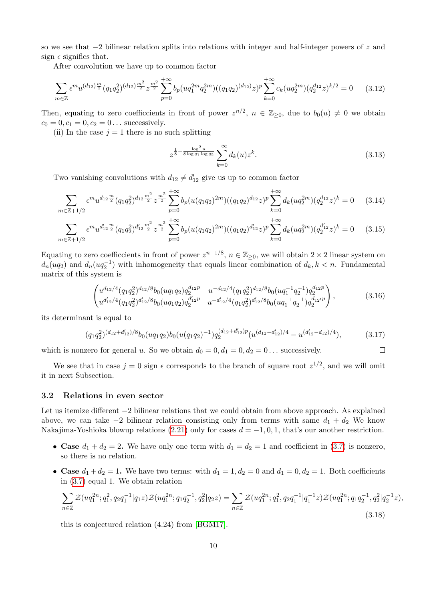so we see that  $-2$  bilinear relation splits into relations with integer and half-integer powers of z and sign  $\epsilon$  signifies that.

After convolution we have up to common factor

$$
\sum_{m \in \mathbb{Z}} \epsilon^m u^{(d_{12}) \frac{m}{2}} (q_1 q_2^2)^{(d_{12}) \frac{m^2}{2}} z^{\frac{m^2}{2}} \sum_{p=0}^{+\infty} b_p (u q_1^{2m} q_2^{2m}) ((q_1 q_2)^{(d_{12})} z)^p \sum_{k=0}^{+\infty} c_k (u q_2^{2m}) (q_2^{d_{12}} z)^{k/2} = 0 \quad (3.12)
$$

Then, equating to zero coefficcients in front of power  $z^{n/2}$ ,  $n \in \mathbb{Z}_{\geq 0}$ , due to  $b_0(u) \neq 0$  we obtain  $c_0 = 0, c_1 = 0, c_2 = 0 \dots$  successively.

(ii) In the case  $j = 1$  there is no such splitting

$$
z^{\frac{1}{8} - \frac{\log^2 u}{8 \log q_1 \log q_2}} \sum_{k=0}^{+\infty} d_k(u) z^k.
$$
 (3.13)

Two vanishing convolutions with  $d_{12} \neq d'_{12}$  give us up to common factor

$$
\sum_{m \in \mathbb{Z}+1/2} \epsilon^m u^{d_{12}\frac{m}{2}} (q_1 q_2^2)^{d_{12}\frac{m^2}{2}} z^{\frac{m^2}{2}} \sum_{p=0}^{+\infty} b_p (u(q_1 q_2)^{2m}) ((q_1 q_2)^{d_{12}} z)^p \sum_{k=0}^{+\infty} d_k (uq_2^{2m}) (q_2^{d_{12}} z)^k = 0 \quad (3.14)
$$

$$
\sum_{m \in \mathbb{Z}+1/2} \epsilon^m u^{d'_{12}\frac{m}{2}} (q_1 q_2^2)^{d'_{12}\frac{m^2}{2}} z^{\frac{m^2}{2}} \sum_{p=0}^{+\infty} b_p (u(q_1 q_2)^{2m}) ((q_1 q_2)^{d'_{12}} z)^p \sum_{k=0}^{+\infty} d_k (uq_2^{2m}) (q_2^{d'_{12}} z)^k = 0 \quad (3.15)
$$

Equating to zero coefficcients in front of power  $z^{n+1/8}$ ,  $n \in \mathbb{Z}_{\geq 0}$ , we will obtain  $2 \times 2$  linear system on  $d_n(uq_2)$  and  $d_n(uq_2^{-1})$  with inhomogeneity that equals linear combination of  $d_k, k < n$ . Fundamental matrix of this system is

$$
\begin{pmatrix} u^{d_{12}/4} (q_1 q_2^2)^{d_{12}/8} b_0 (u q_1 q_2) q_2^{d_{12}p} & u^{-d_{12}/4} (q_1 q_2^2)^{d_{12}/8} b_0 (u q_1^{-1} q_2^{-1}) q_2^{d_{12}p} \\ u^{d_{12}/4} (q_1 q_2^2)^{d_{12}/8} b_0 (u q_1 q_2) q_2^{d_{12}'p} & u^{-d_{12}'/4} (q_1 q_2^2)^{d_{12}'/8} b_0 (u q_1^{-1} q_2^{-1}) q_2^{d_{12}'p} \end{pmatrix},
$$
\n(3.16)

its determinant is equal to

$$
(q_1 q_2^2)^{(d_{12}+d'_{12})/8} b_0(uq_1q_2) b_0(u(q_1q_2)^{-1}) q_2^{(d_{12}+d'_{12})p} (u^{(d_{12}-d'_{12})/4} - u^{(d'_{12}-d_{12})/4}), \qquad (3.17)
$$

which is nonzero for general u. So we obtain  $d_0 = 0, d_1 = 0, d_2 = 0$ ... successively.  $\Box$ 

We see that in case  $j = 0$  sign  $\epsilon$  corresponds to the branch of square root  $z^{1/2}$ , and we will omit it in next Subsection.

#### <span id="page-9-0"></span>3.2 Relations in even sector

Let us itemize different −2 bilinear relations that we could obtain from above approach. As explained above, we can take  $-2$  bilinear relation consisting only from terms with same  $d_1 + d_2$  We know Nakajima-Yoshioka blowup relations [\(2.21\)](#page-6-1) only for cases  $d = -1, 0, 1$ , that's our another restriction.

- Case  $d_1 + d_2 = 2$ . We have only one term with  $d_1 = d_2 = 1$  and coefficient in [\(3.7\)](#page-8-1) is nonzero, so there is no relation.
- Case  $d_1 + d_2 = 1$ . We have two terms: with  $d_1 = 1, d_2 = 0$  and  $d_1 = 0, d_2 = 1$ . Both coefficients in [\(3.7\)](#page-8-1) equal 1. We obtain relation

<span id="page-9-1"></span>
$$
\sum_{n\in\mathbb{Z}} \mathcal{Z}(uq_1^{2n};q_1^2,q_2q_1^{-1}|q_1z)\mathcal{Z}(uq_1^{2n};q_1q_2^{-1},q_2^2|q_2z) = \sum_{n\in\mathbb{Z}} \mathcal{Z}(uq_1^{2n};q_1^2,q_2q_1^{-1}|q_1^{-1}z)\mathcal{Z}(uq_1^{2n};q_1q_2^{-1},q_2^2|q_2^{-1}z),
$$
\n(3.18)

this is conjectured relation (4.24) from [\[BGM17\]](#page-14-8).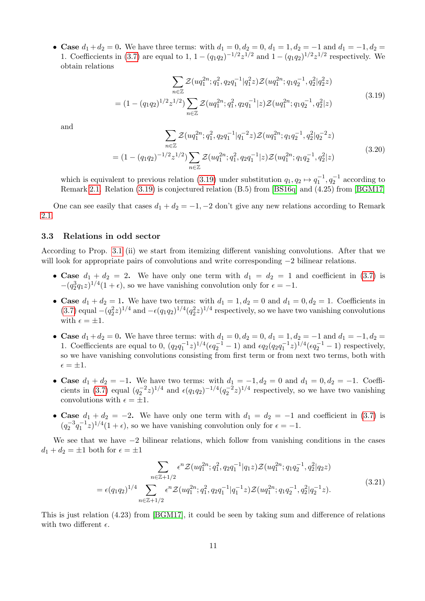• Case  $d_1 + d_2 = 0$ . We have three terms: with  $d_1 = 0, d_2 = 0, d_1 = 1, d_2 = -1$  and  $d_1 = -1, d_2 = 1$ 1. Coefficcients in [\(3.7\)](#page-8-1) are equal to 1,  $1 - (q_1q_2)^{-1/2}z^{1/2}$  and  $1 - (q_1q_2)^{1/2}z^{1/2}$  respectively. We obtain relations

<span id="page-10-2"></span>
$$
\sum_{n\in\mathbb{Z}} \mathcal{Z}(uq_1^{2n}; q_1^2, q_2q_1^{-1}|q_1^2z) \mathcal{Z}(uq_1^{2n}; q_1q_2^{-1}, q_2^2|q_2^2z)
$$
  
= 
$$
(1 - (q_1q_2)^{1/2}z^{1/2}) \sum_{n\in\mathbb{Z}} \mathcal{Z}(uq_1^{2n}; q_1^2, q_2q_1^{-1}|z) \mathcal{Z}(uq_1^{2n}; q_1q_2^{-1}, q_2^2|z)
$$
(3.19)

and

$$
\sum_{n\in\mathbb{Z}} \mathcal{Z}(uq_1^{2n}; q_1^2, q_2q_1^{-1}|q_1^{-2}z) \mathcal{Z}(uq_1^{2n}; q_1q_2^{-1}, q_2^2|q_2^{-2}z)
$$
  
= 
$$
(1 - (q_1q_2)^{-1/2}z^{1/2}) \sum_{n\in\mathbb{Z}} \mathcal{Z}(uq_1^{2n}; q_1^2, q_2q_1^{-1}|z) \mathcal{Z}(uq_1^{2n}; q_1q_2^{-1}, q_2^2|z)
$$
(3.20)

which is equivalent to previous relation [\(3.19\)](#page-10-2) under substitution  $q_1, q_2 \mapsto q_1^{-1}, q_2^{-1}$  according to Remark [2.1.](#page-7-4) Relation [\(3.19\)](#page-10-2) is conjectured relation (B.5) from [\[BS16q\]](#page-14-1) and (4.25) from [\[BGM17\]](#page-14-8)

One can see easily that cases  $d_1 + d_2 = -1, -2$  don't give any new relations according to Remark [2.1.](#page-7-4)

#### <span id="page-10-0"></span>3.3 Relations in odd sector

According to Prop. [3.1](#page-8-0) (ii) we start from itemizing different vanishing convolutions. After that we will look for appropriate pairs of convolutions and write corresponding  $-2$  bilinear relations.

- Case  $d_1 + d_2 = 2$ . We have only one term with  $d_1 = d_2 = 1$  and coefficient in [\(3.7\)](#page-8-1) is  $-(q_2^3q_1z)^{1/4}(1+\epsilon)$ , so we have vanishing convolution only for  $\epsilon = -1$ .
- Case  $d_1 + d_2 = 1$ . We have two terms: with  $d_1 = 1, d_2 = 0$  and  $d_1 = 0, d_2 = 1$ . Coefficients in [\(3.7\)](#page-8-1) equal  $-(q_2^2 z)^{1/4}$  and  $-\epsilon (q_1q_2)^{1/4} (q_2^2 z)^{1/4}$  respectively, so we have two vanishing convolutions with  $\epsilon = \pm 1$ .
- Case  $d_1 + d_2 = 0$ . We have three terms: with  $d_1 = 0, d_2 = 0, d_1 = 1, d_2 = -1$  and  $d_1 = -1, d_2 = 1$ 1. Coefficcients are equal to 0,  $(q_2q_1^{-1}z)^{1/4}(\epsilon q_2^{-1}-1)$  and  $\epsilon q_2(q_2q_1^{-1}z)^{1/4}(\epsilon q_2^{-1}-1)$  respectively, so we have vanishing convolutions consisting from first term or from next two terms, both with  $\epsilon = \pm 1.$
- Case  $d_1 + d_2 = -1$ . We have two terms: with  $d_1 = -1, d_2 = 0$  and  $d_1 = 0, d_2 = -1$ . Coeffi-cients in [\(3.7\)](#page-8-1) equal  $(q_2^{-2}z)^{1/4}$  and  $\epsilon(q_1q_2)^{-1/4}(q_2^{-2}z)^{1/4}$  respectively, so we have two vanishing convolutions with  $\epsilon = \pm 1$ .
- Case  $d_1 + d_2 = -2$ . We have only one term with  $d_1 = d_2 = -1$  and coefficient in [\(3.7\)](#page-8-1) is  $(q_2^{-3}q_1^{-1}z)^{1/4}(1+\epsilon)$ , so we have vanishing convolution only for  $\epsilon = -1$ .

We see that we have  $-2$  bilinear relations, which follow from vanishing conditions in the cases  $d_1 + d_2 = \pm 1$  both for  $\epsilon = \pm 1$ 

<span id="page-10-1"></span>
$$
\sum_{n \in \mathbb{Z}+1/2} \epsilon^n \mathcal{Z}(uq_1^{2n}; q_1^2, q_2 q_1^{-1} | q_1 z) \mathcal{Z}(uq_1^{2n}; q_1 q_2^{-1}, q_2^2 | q_2 z) \n= \epsilon (q_1 q_2)^{1/4} \sum_{n \in \mathbb{Z}+1/2} \epsilon^n \mathcal{Z}(uq_1^{2n}; q_1^2, q_2 q_1^{-1} | q_1^{-1} z) \mathcal{Z}(uq_1^{2n}; q_1 q_2^{-1}, q_2^2 | q_2^{-1} z).
$$
\n(3.21)

This is just relation (4.23) from [\[BGM17\]](#page-14-8), it could be seen by taking sum and difference of relations with two different  $\epsilon$ .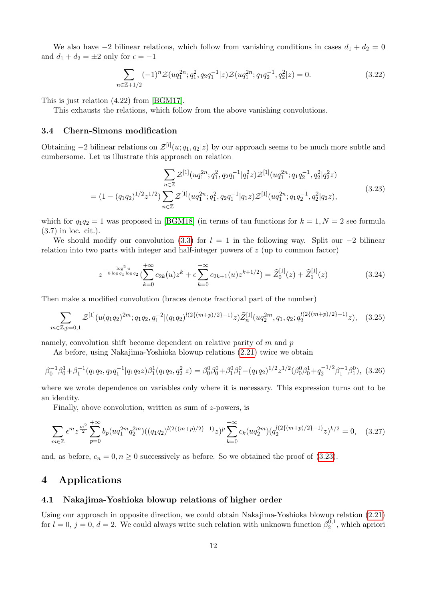We also have  $-2$  bilinear relations, which follow from vanishing conditions in cases  $d_1 + d_2 = 0$ and  $d_1 + d_2 = \pm 2$  only for  $\epsilon = -1$ 

<span id="page-11-3"></span>
$$
\sum_{n \in \mathbb{Z}+1/2} (-1)^n \mathcal{Z}(uq_1^{2n}; q_1^2, q_2 q_1^{-1} | z) \mathcal{Z}(uq_1^{2n}; q_1 q_2^{-1}, q_2^2 | z) = 0.
$$
 (3.22)

This is just relation (4.22) from [\[BGM17\]](#page-14-8).

<span id="page-11-0"></span>This exhausts the relations, which follow from the above vanishing convolutions.

#### 3.4 Chern-Simons modification

Obtaining  $-2$  bilinear relations on  $\mathcal{Z}^{[l]}(u; q_1, q_2|z)$  by our approach seems to be much more subtle and cumbersome. Let us illustrate this approach on relation

<span id="page-11-4"></span>
$$
\sum_{n\in\mathbb{Z}} \mathcal{Z}^{[1]}(uq_1^{2n}; q_1^2, q_2q_1^{-1}|q_1^2z) \mathcal{Z}^{[1]}(uq_1^{2n}; q_1q_2^{-1}, q_2^2|q_2^2z)
$$
  
= 
$$
(1 - (q_1q_2)^{1/2}z^{1/2}) \sum_{n\in\mathbb{Z}} \mathcal{Z}^{[1]}(uq_1^{2n}; q_1^2, q_2q_1^{-1}|q_1z) \mathcal{Z}^{[1]}(uq_1^{2n}; q_1q_2^{-1}, q_2^2|q_2z),
$$
\n
$$
(3.23)
$$

which for  $q_1q_2 = 1$  was proposed in [\[BGM18\]](#page-14-9) (in terms of tau functions for  $k = 1, N = 2$  see formula (3.7) in loc. cit.).

We should modify our convolution [\(3.3\)](#page-7-3) for  $l = 1$  in the following way. Split our  $-2$  bilinear relation into two parts with integer and half-integer powers of z (up to common factor)

$$
z^{-\frac{\log^2 u}{8\log q_1 \log q_2}}(\sum_{k=0}^{+\infty} c_{2k}(u)z^k + \epsilon \sum_{k=0}^{+\infty} c_{2k+1}(u)z^{k+1/2}) = \widehat{Z}_0^{[1]}(z) + \widehat{Z}_1^{[1]}(z)
$$
(3.24)

Then make a modified convolution (braces denote fractional part of the number)

<span id="page-11-5"></span>
$$
\sum_{m \in \mathbb{Z}, p=0,1} \mathcal{Z}^{[1]}(u(q_1q_2)^{2m}; q_1q_2, q_1^{-2}|(q_1q_2)^{l(2\{(m+p)/2\}-1)}z) \widehat{Z}_n^{[1]}(uq_2^{2m}, q_1, q_2; q_2^{l(2\{(m+p)/2\}-1)}z), \quad (3.25)
$$

namely, convolution shift become dependent on relative parity of  $m$  and  $p$ 

As before, using Nakajima-Yoshioka blowup relations [\(2.21\)](#page-6-1) twice we obtain

$$
\beta_0^{-1}\beta_0^1 + \beta_1^{-1}(q_1q_2, q_2q_1^{-1}|q_1q_2z)\beta_1^1(q_1q_2, q_2^2|z) = \beta_0^0\beta_0^0 + \beta_1^0\beta_1^0 - (q_1q_2)^{1/2}z^{1/2}(\beta_0^0\beta_0^1 + q_2^{-1/2}\beta_1^{-1}\beta_1^0),
$$
 (3.26)

where we wrote dependence on variables only where it is necessary. This expression turns out to be an identity.

Finally, above convolution, written as sum of z-powers, is

$$
\sum_{m\in\mathbb{Z}} \epsilon^m z^{\frac{m^2}{2}} \sum_{p=0}^{+\infty} b_p (uq_1^{2m} q_2^{2m}) ((q_1q_2)^{l(2\{(m+p)/2\}-1)} z)^p \sum_{k=0}^{+\infty} c_k (uq_2^{2m}) (q_2^{l(2\{(m+p)/2\}-1)} z)^{k/2} = 0, \quad (3.27)
$$

<span id="page-11-1"></span>and, as before,  $c_n = 0, n \ge 0$  successively as before. So we obtained the proof of [\(3.23\)](#page-11-4).

## 4 Applications

#### <span id="page-11-2"></span>4.1 Nakajima-Yoshioka blowup relations of higher order

Using our approach in opposite direction, we could obtain Nakajima-Yoshioka blowup relation [\(2.21\)](#page-6-1) for  $l = 0$ ,  $j = 0$ ,  $d = 2$ . We could always write such relation with unknown function  $\beta_2^{0,1}$  $\mathbb{Z}_2^{0,1}$ , which apriori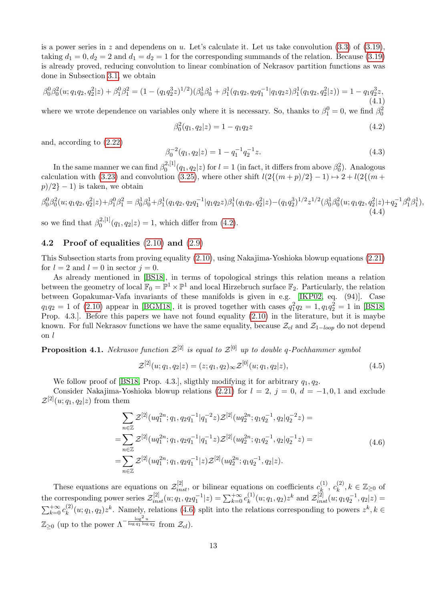is a power series in z and dependens on u. Let's calculate it. Let us take convolution  $(3.3)$  of  $(3.19)$ , taking  $d_1 = 0, d_2 = 2$  and  $d_1 = d_2 = 1$  for the corresponding summands of the relation. Because [\(3.19\)](#page-10-2) is already proved, reducing convolution to linear combination of Nekrasov partition functions as was done in Subsection [3.1,](#page-7-1) we obtain

$$
\beta_0^0 \beta_0^2(u; q_1 q_2, q_2^2 | z) + \beta_1^0 \beta_1^2 = (1 - (q_1 q_2^3 z)^{1/2}) (\beta_0^1 \beta_0^1 + \beta_1^1 (q_1 q_2, q_2 q_1^{-1} | q_1 q_2 z) \beta_1^1 (q_1 q_2, q_2^2 | z)) = 1 - q_1 q_2^3 z,
$$
\n(4.1)

where we wrote dependence on variables only where it is necessary. So, thanks to  $\beta_1^0 = 0$ , we find  $\beta_0^2$ 

<span id="page-12-1"></span>
$$
\beta_0^2(q_1, q_2|z) = 1 - q_1 q_2 z \tag{4.2}
$$

and, according to [\(2.22\)](#page-7-5)

<span id="page-12-4"></span>
$$
\beta_0^{-2}(q_1, q_2|z) = 1 - q_1^{-1} q_2^{-1} z. \tag{4.3}
$$

In the same manner we can find  $\beta_0^{2,[1]}$  $\beta_0^{2,[1]}(q_1,q_2|z)$  for  $l=1$  (in fact, it differs from above  $\beta_0^2$ ). Analogous calculation with [\(3.23\)](#page-11-4) and convolution [\(3.25\)](#page-11-5), where other shift  $l(2{(m+p)/2} - 1) \rightarrow 2 + l(2{(m + p)/2})$  $p/2$ } − 1) is taken, we obtain

$$
\beta_0^0 \beta_0^2(u; q_1 q_2, q_2^2 | z) + \beta_1^0 \beta_1^2 = \beta_0^1 \beta_0^1 + \beta_1^1 (q_1 q_2, q_2 q_1^{-1} | q_1 q_2 z) \beta_1^1 (q_1 q_2, q_2^2 | z) - (q_1 q_2^3)^{1/2} z^{1/2} (\beta_0^1 \beta_0^2(u; q_1 q_2, q_2^2 | z) + q_2^{-1} \beta_1^0 \beta_1^1),
$$
\n(4.4)

<span id="page-12-0"></span>so we find that  $\beta_0^{2,[1]}$  $Q_0^{2,[1]}(q_1,q_2|z) = 1$ , which differ from  $(4.2)$ .

#### 4.2 Proof of equalities [\(2.10\)](#page-5-0) and [\(2.9\)](#page-5-1)

This Subsection starts from proving equality [\(2.10\)](#page-5-0), using Nakajima-Yoshioka blowup equations [\(2.21\)](#page-6-1) for  $l = 2$  and  $l = 0$  in sector  $j = 0$ .

As already mentioned in [\[BS18\]](#page-14-7), in terms of topological strings this relation means a relation between the geometry of local  $\mathbb{F}_0 = \mathbb{P}^1 \times \mathbb{P}^1$  and local Hirzebruch surface  $\mathbb{F}_2$ . Particularly, the relation between Gopakumar-Vafa invariants of these manifolds is given in e.g. [\[IKP02,](#page-15-10) eq. (94)]. Case  $q_1q_2 = 1$  of [\(2.10\)](#page-5-0) appear in [\[BGM18\]](#page-14-9), it is proved together with cases  $q_1^2q_2 = 1, q_1q_2^2 = 1$  in [\[BS18,](#page-14-7) Prop. 4.3.]. Before this papers we have not found equality [\(2.10\)](#page-5-0) in the literature, but it is maybe known. For full Nekrasov functions we have the same equality, because  $\mathcal{Z}_{cl}$  and  $\mathcal{Z}_{1-loop}$  do not depend on l

<span id="page-12-3"></span>**Proposition 4.1.** Nekrasov function  $\mathcal{Z}^{[2]}$  is equal to  $\mathcal{Z}^{[0]}$  up to double q-Pochhammer symbol

<span id="page-12-5"></span>
$$
\mathcal{Z}^{[2]}(u;q_1,q_2|z) = (z;q_1,q_2)_{\infty} \mathcal{Z}^{[0]}(u;q_1,q_2|z), \qquad (4.5)
$$

We follow proof of [\[BS18,](#page-14-7) Prop. 4.3.], sligthly modifying it for arbitrary  $q_1, q_2$ .

Consider Nakajima-Yoshioka blowup relations [\(2.21\)](#page-6-1) for  $l = 2$ ,  $j = 0$ ,  $d = -1, 0, 1$  and exclude  $\mathcal{Z}^{[2]}(u;q_1,q_2|z)$  from them

<span id="page-12-2"></span>
$$
\sum_{n\in\mathbb{Z}} \mathcal{Z}^{[2]}(uq_1^{2n}; q_1, q_2q_1^{-1}|q_1^{-2}z) \mathcal{Z}^{[2]}(uq_2^{2n}; q_1q_2^{-1}, q_2|q_2^{-2}z) =
$$
\n
$$
=\sum_{n\in\mathbb{Z}} \mathcal{Z}^{[2]}(uq_1^{2n}; q_1, q_2q_1^{-1}|q_1^{-1}z) \mathcal{Z}^{[2]}(uq_2^{2n}; q_1q_2^{-1}, q_2|q_2^{-1}z) =
$$
\n
$$
=\sum_{n\in\mathbb{Z}} \mathcal{Z}^{[2]}(uq_1^{2n}; q_1, q_2q_1^{-1}|z) \mathcal{Z}^{[2]}(uq_2^{2n}; q_1q_2^{-1}, q_2|z).
$$
\n(4.6)

These equations are equations on  $\mathcal{Z}^{[2]}_{inst}$ , or bilinear equations on coefficients  $c_k^{(1)}$  $c_k^{(1)}, c_k^{(2)}$  $\zeta_k^{(2)}, k \in \mathbb{Z}_{\geq 0}$  of the corresponding power series  $\mathcal{Z}_{inst}^{[2]}(u;q_1,q_2q_1^{-1}|z) = \sum_{k=0}^{+\infty} c_k^{(1)}$  $\mathcal{Z}_{ik}^{(1)}(u;q_1,q_2)z^k$  and  $\mathcal{Z}_{inst}^{[2]}(u;q_1q_2^{-1},q_2|z) =$  $\sum_{k=0}^{+\infty} c_k^{(2)}$  $k^{(2)}(u;q_1,q_2)z^k$ . Namely, relations [\(4.6\)](#page-12-2) split into the relations corresponding to powers  $z^k, k \in$  $\mathbb{Z}_{\geq 0}$  (up to the power  $\Lambda^{-\frac{\log^2 u}{\log q_1 \log}}$  $\overline{\log q_1 \log q_2}$  from  $\mathcal{Z}_{cl}$ ).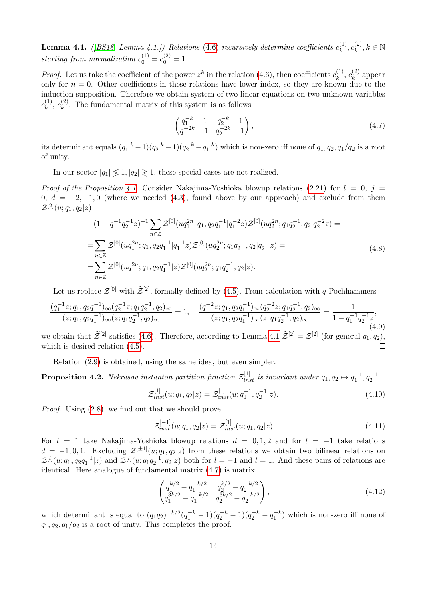<span id="page-13-1"></span>**Lemma 4.1.** ([\[BS18,](#page-14-7) Lemma 4.1.]) Relations [\(4.6\)](#page-12-2) recursively determine coefficients  $c_k^{(1)}$  $c_k^{(1)},c_k^{(2)}$  $k^{(2)}_k, k \in \mathbb{N}$ starting from normalization  $c_0^{(1)} = c_0^{(2)} = 1$ .

*Proof.* Let us take the coefficient of the power  $z^k$  in the relation [\(4.6\)](#page-12-2), then coefficients  $c_k^{(1)}$  $c_k^{(1)}, c_k^{(2)}$  $k_k^{(2)}$  appear only for  $n = 0$ . Other coefficients in these relations have lower index, so they are known due to the induction supposition. Therefore we obtain system of two linear equations on two unknown variables  $c_k^{(1)}$  $\binom{(1)}{k},\ c_k^{(2)}$  $\kappa_k^{(2)}$ . The fundamental matrix of this system is as follows

<span id="page-13-2"></span>
$$
\begin{pmatrix} q_1^{-k} - 1 & q_2^{-k} - 1 \ q_1^{-2k} - 1 & q_2^{-2k} - 1 \end{pmatrix},
$$
\n(4.7)

its determinant equals  $(q_1^{-k}-1)(q_2^{-k}-q_1^{-k})$  which is non-zero iff none of  $q_1, q_2, q_1/q_2$  is a root of unity.  $\Box$ 

In our sector  $|q_1| \leq 1, |q_2| \geq 1$ , these special cases are not realized.

*Proof of the Proposition [4.1.](#page-12-3)* Consider Nakajima-Yoshioka blowup relations [\(2.21\)](#page-6-1) for  $l = 0$ ,  $j =$ 0,  $d = -2, -1, 0$  (where we needed [\(4.3\)](#page-12-4), found above by our approach) and exclude from them  $\mathcal{Z}^{[2]}(u;q_1,q_2|z)$ 

$$
(1 - q_1^{-1}q_2^{-1}z)^{-1} \sum_{n \in \mathbb{Z}} \mathcal{Z}^{[0]}(uq_1^{2n}; q_1, q_2q_1^{-1}|q_1^{-2}z) \mathcal{Z}^{[0]}(uq_2^{2n}; q_1q_2^{-1}, q_2|q_2^{-2}z) =
$$
  
\n
$$
= \sum_{n \in \mathbb{Z}} \mathcal{Z}^{[0]}(uq_1^{2n}; q_1, q_2q_1^{-1}|q_1^{-1}z) \mathcal{Z}^{[0]}(uq_2^{2n}; q_1q_2^{-1}, q_2|q_2^{-1}z) =
$$
  
\n
$$
= \sum_{n \in \mathbb{Z}} \mathcal{Z}^{[0]}(uq_1^{2n}; q_1, q_2q_1^{-1}|z) \mathcal{Z}^{[0]}(uq_2^{2n}; q_1q_2^{-1}, q_2|z).
$$
\n(4.8)

Let us replace  $\mathcal{Z}^{[0]}$  with  $\widetilde{\mathcal{Z}}^{[2]}$ , formally defined by [\(4.5\)](#page-12-5). From calculation with q-Pochhammers

$$
\frac{(q_1^{-1}z;q_1,q_2q_1^{-1})_{\infty}(q_2^{-1}z;q_1q_2^{-1},q_2)_{\infty}}{(z;q_1,q_2q_1^{-1})_{\infty}(z;q_1q_2^{-1},q_2)_{\infty}} = 1, \quad \frac{(q_1^{-2}z;q_1,q_2q_1^{-1})_{\infty}(q_2^{-2}z;q_1q_2^{-1},q_2)_{\infty}}{(z;q_1,q_2q_1^{-1})_{\infty}(z;q_1q_2^{-1},q_2)_{\infty}} = \frac{1}{1 - q_1^{-1}q_2^{-1}z},
$$
\n(4.9)

we obtain that  $\widetilde{\mathcal{Z}}^{[2]}$  satisfies [\(4.6\)](#page-12-2). Therefore, according to Lemma [4.1](#page-13-1)  $\widetilde{\mathcal{Z}}^{[2]} = \mathcal{Z}^{[2]}$  (for general  $q_1, q_2$ ), which is desired relation [\(4.5\)](#page-12-5).

Relation [\(2.9\)](#page-5-1) is obtained, using the same idea, but even simpler.

**Proposition 4.2.** Nekrasov instanton partition function  $\mathcal{Z}_{inst}^{[1]}$  is invariant under  $q_1, q_2 \mapsto q_1^{-1}, q_2^{-1}$ 

$$
\mathcal{Z}_{inst}^{[1]}(u;q_1,q_2|z) = \mathcal{Z}_{inst}^{[1]}(u;q_1^{-1},q_2^{-1}|z). \tag{4.10}
$$

Proof. Using [\(2.8\)](#page-4-3), we find out that we should prove

$$
\mathcal{Z}_{inst}^{[-1]}(u;q_1,q_2|z) = \mathcal{Z}_{inst}^{[1]}(u;q_1,q_2|z)
$$
\n(4.11)

For  $l = 1$  take Nakajima-Yoshioka blowup relations  $d = 0, 1, 2$  and for  $l = -1$  take relations  $d = -1, 0, 1$ . Excluding  $\mathcal{Z}^{[\pm 1]}(u; q_1, q_2 | z)$  from these relations we obtain two bilinear relations on  $\mathcal{Z}^{[l]}(u;q_1,q_2q_1^{-1}|z)$  and  $\mathcal{Z}^{[l]}(u;q_1q_2^{-1},q_2|z)$  both for  $l=-1$  and  $l=1$ . And these pairs of relations are identical. Here analogue of fundamental matrix [\(4.7\)](#page-13-2) is matrix

$$
\begin{pmatrix} q_1^{k/2} - q_1^{-k/2} & q_2^{k/2} - q_2^{-k/2} \\ q_3^{3k/2} - q_1^{-k/2} & q_2^{3k/2} - q_2^{-k/2} \end{pmatrix},
$$
\n(4.12)

<span id="page-13-0"></span>which determinant is equal to  $(q_1q_2)^{-k/2}(q_1^{-k}-1)(q_2^{-k}-1)(q_2^{-k}-q_1^{-k})$  which is non-zero iff none of  $q_1, q_2, q_1/q_2$  is a root of unity. This completes the proof.  $\Box$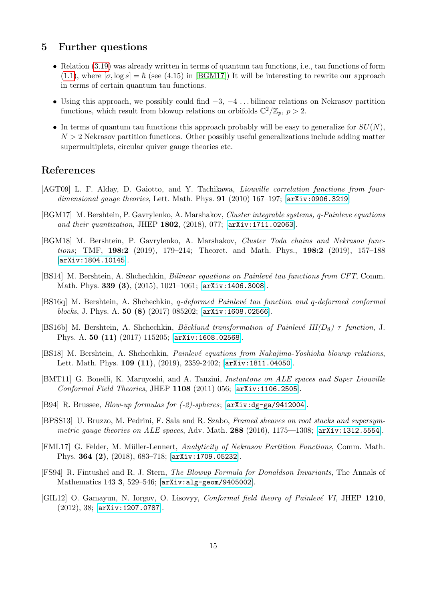## 5 Further questions

- Relation [\(3.19\)](#page-10-2) was already written in terms of quantum tau functions, i.e., tau functions of form [\(1.1\)](#page-1-1), where  $[\sigma, \log s] = \hbar$  (see (4.15) in [\[BGM17\]](#page-14-8)) It will be interesting to rewrite our approach in terms of certain quantum tau functions.
- Using this approach, we possibly could find  $-3$ ,  $-4$  ... bilinear relations on Nekrasov partition functions, which result from blowup relations on orbifolds  $\mathbb{C}^2/\mathbb{Z}_p$ ,  $p > 2$ .
- In terms of quantum tau functions this approach probably will be easy to generalize for  $SU(N)$ ,  $N > 2$  Nekrasov partition functions. Other possibly useful generalizations include adding matter supermultiplets, circular quiver gauge theories etc.

## References

- <span id="page-14-6"></span>[AGT09] L. F. Alday, D. Gaiotto, and Y. Tachikawa, Liouville correlation functions from fourdimensional gauge theories, Lett. Math. Phys. **91** (2010) 167-197; [[arXiv:0906.3219](http://arxiv.org/abs/0906.3219)]
- <span id="page-14-8"></span>[BGM17] M. Bershtein, P. Gavrylenko, A. Marshakov, Cluster integrable systems, q-Painleve equations and their quantization, JHEP 1802, (2018), 077; [[arXiv:1711.02063](http://arxiv.org/abs/1711.02063)].
- <span id="page-14-9"></span>[BGM18] M. Bershtein, P. Gavrylenko, A. Marshakov, Cluster Toda chains and Nekrasov functions; TMF, 198:2 (2019), 179–214; Theoret. and Math. Phys., 198:2 (2019), 157–188 [[arXiv:1804.10145](http://arxiv.org/abs/1804.10145)].
- <span id="page-14-2"></span>[BS14] M. Bershtein, A. Shchechkin, *Bilinear equations on Painlevé tau functions from CFT*, Comm. Math. Phys. 339 (3), (2015), 1021–1061; [[arXiv:1406.3008](http://arxiv.org/abs/1406.3008)].
- <span id="page-14-1"></span>[BS16q] M. Bershtein, A. Shchechkin, *q-deformed Painlevé tau function and q-deformed conformal* blocks, J. Phys. A. 50 (8) (2017) 085202; [[arXiv:1608.02566](https://arxiv.org/abs/1608.02566)].
- <span id="page-14-3"></span>[BS16b] M. Bershtein, A. Shchechkin, Bäcklund transformation of Painlevé III(D<sub>8</sub>)  $\tau$  function, J. Phys. A. 50 (11) (2017) 115205; [[arXiv:1608.02568](https://arxiv.org/abs/1608.02568)].
- <span id="page-14-7"></span>[BS18] M. Bershtein, A. Shchechkin, *Painlevé equations from Nakajima-Yoshioka blowup relations*, Lett. Math. Phys. 109 (11), (2019), 2359-2402; [[arXiv:1811.04050](https://arxiv.org/abs/1811.04050)].
- <span id="page-14-4"></span>[BMT11] G. Bonelli, K. Maruyoshi, and A. Tanzini, Instantons on ALE spaces and Super Liouville Conformal Field Theories, JHEP 1108 (2011) 056; [[arXiv:1106.2505](http://arxiv.org/abs/1106.2505)].
- <span id="page-14-11"></span>[B94] R. Brussee, Blow-up formulas for (-2)-spheres; [[arXiv:dg-ga/9412004](https://arxiv.org/abs/dg-ga/9412004)].
- <span id="page-14-5"></span>[BPSS13] U. Bruzzo, M. Pedrini, F. Sala and R. Szabo, Framed sheaves on root stacks and supersymmetric gauge theories on  $ALE$  spaces, Adv. Math. 288 (2016), 1175—1308; [[arXiv:1312.5554](https://arxiv.org/abs/1312.5554)].
- <span id="page-14-12"></span>[FML17] G. Felder, M. Müller-Lennert, Analyticity of Nekrasov Partition Functions, Comm. Math. Phys. 364 (2), (2018), 683–718; [[arXiv:1709.05232](https://arxiv.org/abs/1709.05232)].
- <span id="page-14-10"></span>[FS94] R. Fintushel and R. J. Stern, The Blowup Formula for Donaldson Invariants, The Annals of Mathematics 143 3, 529–546; [[arXiv:alg-geom/9405002](https://arxiv.org/abs/alg-geom/9405002.pdf)].
- <span id="page-14-0"></span>[GIL12] O. Gamayun, N. Iorgov, O. Lisovyy, *Conformal field theory of Painlevé VI*, JHEP 1210, (2012), 38; [[arXiv:1207.0787](https://arxiv.org/abs/1207.0787)].